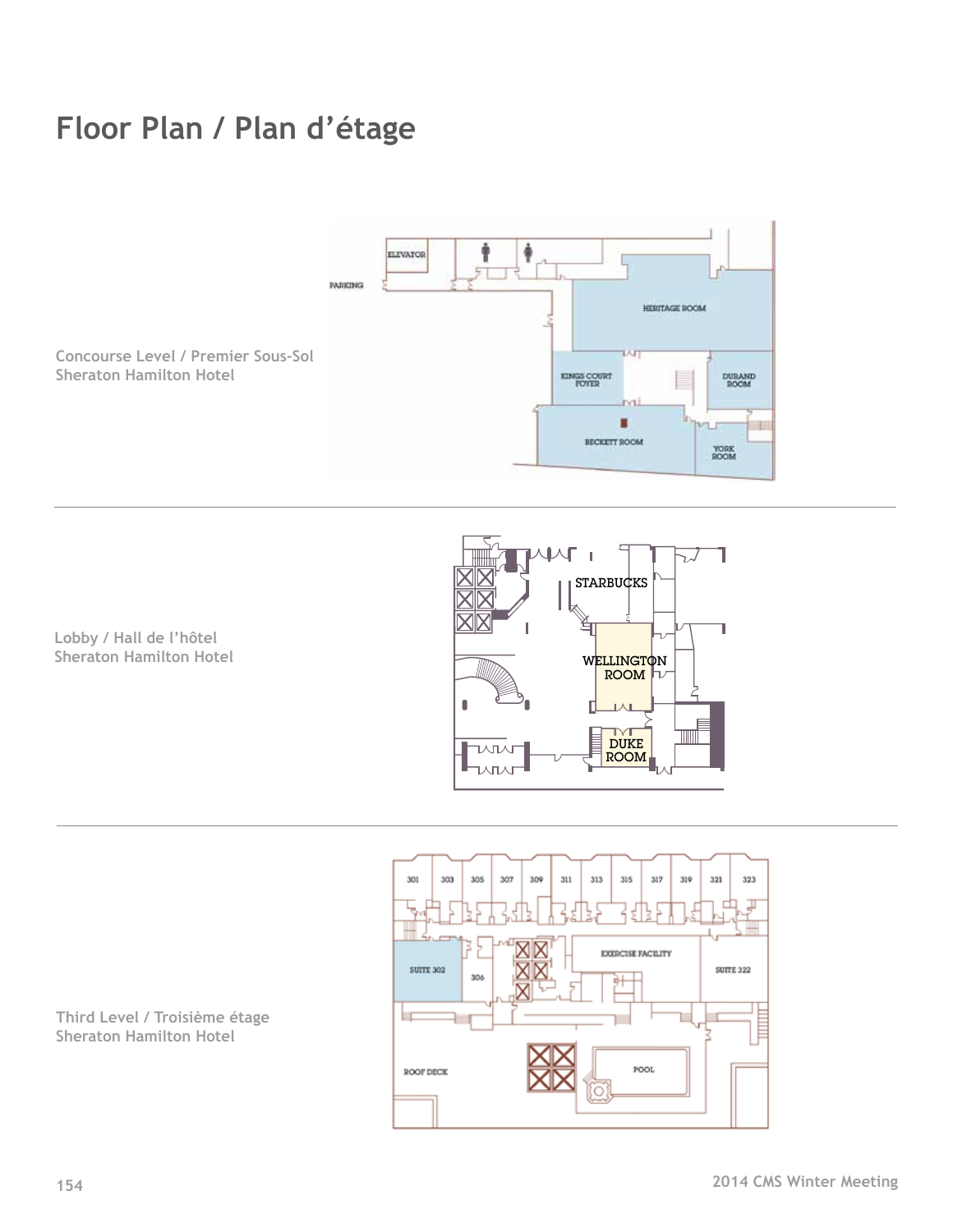## **Floor Plan / Plan d'étage**